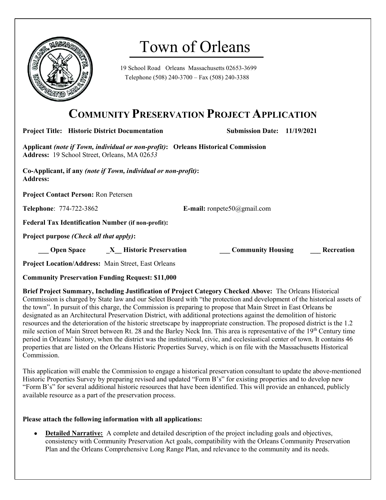

# Town of Orleans

19 School Road Orleans Massachusetts 02653-3699 Telephone (508) 240-3700 – Fax (508) 240-3388

## COMMUNITY PRESERVATION PROJECT APPLICATION

Project Title: Historic District Documentation Submission Date: 11/19/2021

Applicant (note if Town, individual or non-profit): Orleans Historical Commission Address: 19 School Street, Orleans, MA 02653

Co-Applicant, if any (note if Town, individual or non-profit): Address:

Project Contact Person: Ron Petersen

Telephone: 774-722-3862 E-mail: ronpete50@gmail.com

Federal Tax Identification Number (if non-profit):

Project purpose *(Check all that apply)*:

**Open Space X** Historic Preservation **Community Housing Recreation** 

Project Location/Address: Main Street, East Orleans

Community Preservation Funding Request: \$11,000

Brief Project Summary, Including Justification of Project Category Checked Above: The Orleans Historical Commission is charged by State law and our Select Board with "the protection and development of the historical assets of the town". In pursuit of this charge, the Commission is preparing to propose that Main Street in East Orleans be designated as an Architectural Preservation District, with additional protections against the demolition of historic resources and the deterioration of the historic streetscape by inappropriate construction. The proposed district is the 1.2 mile section of Main Street between Rt. 28 and the Barley Neck Inn. This area is representative of the  $19<sup>th</sup>$  Century time period in Orleans' history, when the district was the institutional, civic, and ecclesiastical center of town. It contains 46 properties that are listed on the Orleans Historic Properties Survey, which is on file with the Massachusetts Historical Commission.

This application will enable the Commission to engage a historical preservation consultant to update the above-mentioned Historic Properties Survey by preparing revised and updated "Form B's" for existing properties and to develop new "Form B's" for several additional historic resources that have been identified. This will provide an enhanced, publicly available resource as a part of the preservation process.

### Please attach the following information with all applications:

 Detailed Narrative: A complete and detailed description of the project including goals and objectives, consistency with Community Preservation Act goals, compatibility with the Orleans Community Preservation Plan and the Orleans Comprehensive Long Range Plan, and relevance to the community and its needs.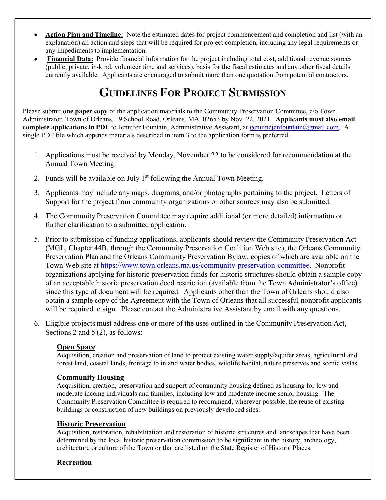- Action Plan and Timeline: Note the estimated dates for project commencement and completion and list (with an explanation) all action and steps that will be required for project completion, including any legal requirements or any impediments to implementation.
- Financial Data: Provide financial information for the project including total cost, additional revenue sources (public, private, in-kind, volunteer time and services), basis for the fiscal estimates and any other fiscal details currently available. Applicants are encouraged to submit more than one quotation from potential contractors.

# GUIDELINES FOR PROJECT SUBMISSION

Please submit one paper copy of the application materials to the Community Preservation Committee, c/o Town Administrator, Town of Orleans, 19 School Road, Orleans, MA 02653 by Nov. 22, 2021. Applicants must also email complete applications in PDF to Jennifer Fountain, Administrative Assistant, at genuinejenfountain@gmail.com. A single PDF file which appends materials described in item 3 to the application form is preferred.

- 1. Applications must be received by Monday, November 22 to be considered for recommendation at the Annual Town Meeting.
- 2. Funds will be available on July  $1<sup>st</sup>$  following the Annual Town Meeting.
- 3. Applicants may include any maps, diagrams, and/or photographs pertaining to the project. Letters of Support for the project from community organizations or other sources may also be submitted.
- 4. The Community Preservation Committee may require additional (or more detailed) information or further clarification to a submitted application.
- 5. Prior to submission of funding applications, applicants should review the Community Preservation Act (MGL, Chapter 44B, through the Community Preservation Coalition Web site), the Orleans Community Preservation Plan and the Orleans Community Preservation Bylaw, copies of which are available on the Town Web site at https://www.town.orleans.ma.us/community-preservation-committee. Nonprofit organizations applying for historic preservation funds for historic structures should obtain a sample copy of an acceptable historic preservation deed restriction (available from the Town Administrator's office) since this type of document will be required. Applicants other than the Town of Orleans should also obtain a sample copy of the Agreement with the Town of Orleans that all successful nonprofit applicants will be required to sign. Please contact the Administrative Assistant by email with any questions.
- 6. Eligible projects must address one or more of the uses outlined in the Community Preservation Act, Sections 2 and 5 (2), as follows:

### **Open Space**

Acquisition, creation and preservation of land to protect existing water supply/aquifer areas, agricultural and forest land, coastal lands, frontage to inland water bodies, wildlife habitat, nature preserves and scenic vistas.

### Community Housing

Acquisition, creation, preservation and support of community housing defined as housing for low and moderate income individuals and families, including low and moderate income senior housing. The Community Preservation Committee is required to recommend, wherever possible, the reuse of existing buildings or construction of new buildings on previously developed sites.

#### Historic Preservation

Acquisition, restoration, rehabilitation and restoration of historic structures and landscapes that have been determined by the local historic preservation commission to be significant in the history, archeology, architecture or culture of the Town or that are listed on the State Register of Historic Places.

### Recreation